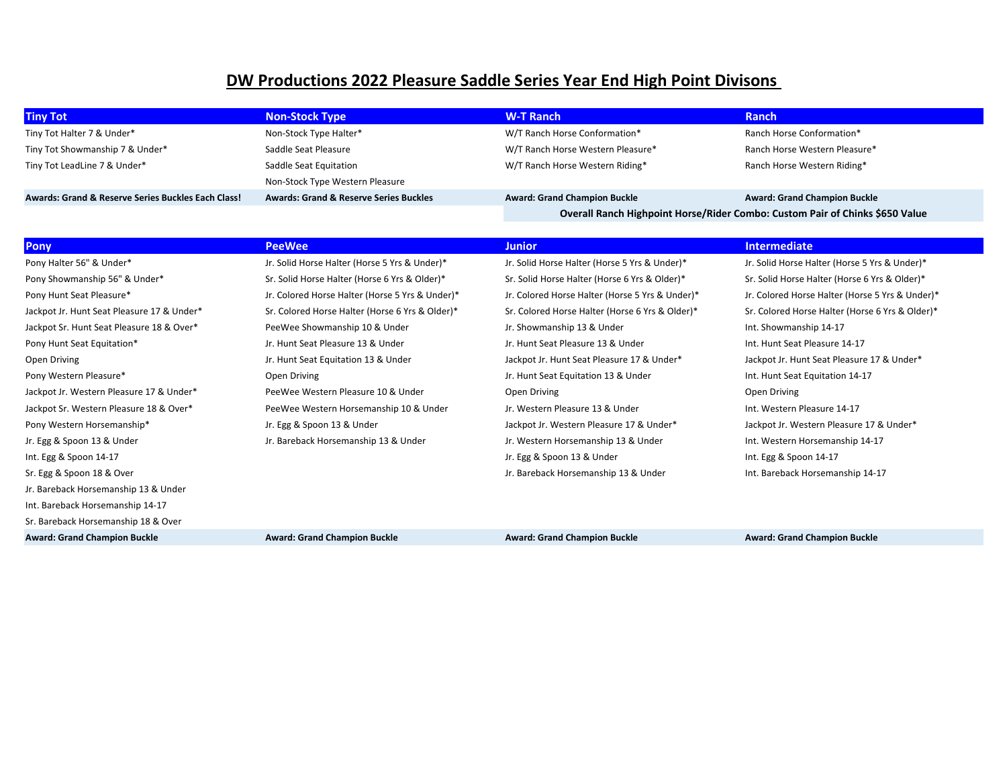## **DW Productions 2022 Pleasure Saddle Series Year End High Point Divisons**

| <b>Tiny Tot</b>                                               | <b>Non-Stock Type</b>                             | <b>W-T Ranch</b>                                                             | <b>Ranch</b>                        |
|---------------------------------------------------------------|---------------------------------------------------|------------------------------------------------------------------------------|-------------------------------------|
| Tiny Tot Halter 7 & Under*                                    | Non-Stock Type Halter*                            | W/T Ranch Horse Conformation*                                                | Ranch Horse Conformation*           |
| Tiny Tot Showmanship 7 & Under*                               | Saddle Seat Pleasure                              | W/T Ranch Horse Western Pleasure*                                            | Ranch Horse Western Pleasure*       |
| Tiny Tot LeadLine 7 & Under*                                  | Saddle Seat Equitation                            | W/T Ranch Horse Western Riding*                                              | Ranch Horse Western Riding*         |
|                                                               | Non-Stock Type Western Pleasure                   |                                                                              |                                     |
| <b>Awards: Grand &amp; Reserve Series Buckles Each Class!</b> | <b>Awards: Grand &amp; Reserve Series Buckles</b> | <b>Award: Grand Champion Buckle</b>                                          | <b>Award: Grand Champion Buckle</b> |
|                                                               |                                                   | Overall Ranch Highpoint Horse/Rider Combo: Custom Pair of Chinks \$650 Value |                                     |

| <b>Pony</b>                                | <b>PeeWee</b>                                   | <b>Junior</b>                                   | <b>Intermediate</b>                             |
|--------------------------------------------|-------------------------------------------------|-------------------------------------------------|-------------------------------------------------|
| Pony Halter 56" & Under*                   | Jr. Solid Horse Halter (Horse 5 Yrs & Under)*   | Jr. Solid Horse Halter (Horse 5 Yrs & Under)*   | Jr. Solid Horse Halter (Horse 5 Yrs & Under)*   |
| Pony Showmanship 56" & Under*              | Sr. Solid Horse Halter (Horse 6 Yrs & Older)*   | Sr. Solid Horse Halter (Horse 6 Yrs & Older)*   | Sr. Solid Horse Halter (Horse 6 Yrs & Older)*   |
| Pony Hunt Seat Pleasure*                   | Jr. Colored Horse Halter (Horse 5 Yrs & Under)* | Jr. Colored Horse Halter (Horse 5 Yrs & Under)* | Jr. Colored Horse Halter (Horse 5 Yrs & Under)* |
| Jackpot Jr. Hunt Seat Pleasure 17 & Under* | Sr. Colored Horse Halter (Horse 6 Yrs & Older)* | Sr. Colored Horse Halter (Horse 6 Yrs & Older)* | Sr. Colored Horse Halter (Horse 6 Yrs & Older)* |
| Jackpot Sr. Hunt Seat Pleasure 18 & Over*  | PeeWee Showmanship 10 & Under                   | Jr. Showmanship 13 & Under                      | Int. Showmanship 14-17                          |
| Pony Hunt Seat Equitation*                 | Jr. Hunt Seat Pleasure 13 & Under               | Jr. Hunt Seat Pleasure 13 & Under               | Int. Hunt Seat Pleasure 14-17                   |
| Open Driving                               | Jr. Hunt Seat Equitation 13 & Under             | Jackpot Jr. Hunt Seat Pleasure 17 & Under*      | Jackpot Jr. Hunt Seat Pleasure 17 & Under*      |
| Pony Western Pleasure*                     | Open Driving                                    | Jr. Hunt Seat Equitation 13 & Under             | Int. Hunt Seat Equitation 14-17                 |
| Jackpot Jr. Western Pleasure 17 & Under*   | PeeWee Western Pleasure 10 & Under              | Open Driving                                    | Open Driving                                    |
| Jackpot Sr. Western Pleasure 18 & Over*    | PeeWee Western Horsemanship 10 & Under          | Jr. Western Pleasure 13 & Under                 | Int. Western Pleasure 14-17                     |
| Pony Western Horsemanship*                 | Jr. Egg & Spoon 13 & Under                      | Jackpot Jr. Western Pleasure 17 & Under*        | Jackpot Jr. Western Pleasure 17 & Under*        |
| Jr. Egg & Spoon 13 & Under                 | Jr. Bareback Horsemanship 13 & Under            | Jr. Western Horsemanship 13 & Under             | Int. Western Horsemanship 14-17                 |
| Int. Egg & Spoon 14-17                     |                                                 | Jr. Egg & Spoon 13 & Under                      | Int. Egg & Spoon 14-17                          |
| Sr. Egg & Spoon 18 & Over                  |                                                 | Jr. Bareback Horsemanship 13 & Under            | Int. Bareback Horsemanship 14-17                |
| Jr. Bareback Horsemanship 13 & Under       |                                                 |                                                 |                                                 |
| Int. Bareback Horsemanship 14-17           |                                                 |                                                 |                                                 |
| Sr. Bareback Horsemanship 18 & Over        |                                                 |                                                 |                                                 |
| <b>Award: Grand Champion Buckle</b>        | <b>Award: Grand Champion Buckle</b>             | <b>Award: Grand Champion Buckle</b>             | <b>Award: Grand Champion Buckle</b>             |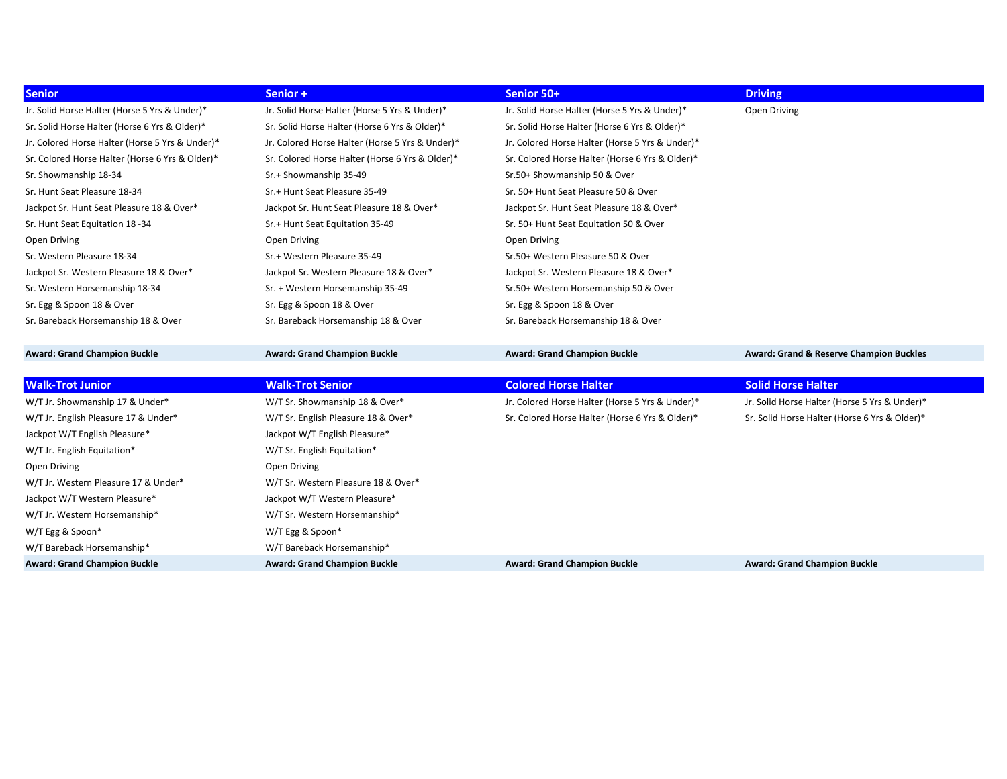| <b>Senior</b>                                   | Senior +                                        | Senior 50+                                      | <b>Driving</b>                                     |
|-------------------------------------------------|-------------------------------------------------|-------------------------------------------------|----------------------------------------------------|
| Jr. Solid Horse Halter (Horse 5 Yrs & Under)*   | Jr. Solid Horse Halter (Horse 5 Yrs & Under)*   | Jr. Solid Horse Halter (Horse 5 Yrs & Under)*   | Open Driving                                       |
| Sr. Solid Horse Halter (Horse 6 Yrs & Older)*   | Sr. Solid Horse Halter (Horse 6 Yrs & Older)*   | Sr. Solid Horse Halter (Horse 6 Yrs & Older)*   |                                                    |
| Jr. Colored Horse Halter (Horse 5 Yrs & Under)* | Jr. Colored Horse Halter (Horse 5 Yrs & Under)* | Jr. Colored Horse Halter (Horse 5 Yrs & Under)* |                                                    |
| Sr. Colored Horse Halter (Horse 6 Yrs & Older)* | Sr. Colored Horse Halter (Horse 6 Yrs & Older)* | Sr. Colored Horse Halter (Horse 6 Yrs & Older)* |                                                    |
| Sr. Showmanship 18-34                           | Sr.+ Showmanship 35-49                          | Sr.50+ Showmanship 50 & Over                    |                                                    |
| Sr. Hunt Seat Pleasure 18-34                    | Sr.+ Hunt Seat Pleasure 35-49                   | Sr. 50+ Hunt Seat Pleasure 50 & Over            |                                                    |
| Jackpot Sr. Hunt Seat Pleasure 18 & Over*       | Jackpot Sr. Hunt Seat Pleasure 18 & Over*       | Jackpot Sr. Hunt Seat Pleasure 18 & Over*       |                                                    |
| Sr. Hunt Seat Equitation 18 -34                 | Sr.+ Hunt Seat Equitation 35-49                 | Sr. 50+ Hunt Seat Equitation 50 & Over          |                                                    |
| Open Driving                                    | Open Driving                                    | Open Driving                                    |                                                    |
| Sr. Western Pleasure 18-34                      | Sr.+ Western Pleasure 35-49                     | Sr.50+ Western Pleasure 50 & Over               |                                                    |
| Jackpot Sr. Western Pleasure 18 & Over*         | Jackpot Sr. Western Pleasure 18 & Over*         | Jackpot Sr. Western Pleasure 18 & Over*         |                                                    |
| Sr. Western Horsemanship 18-34                  | Sr. + Western Horsemanship 35-49                | Sr.50+ Western Horsemanship 50 & Over           |                                                    |
| Sr. Egg & Spoon 18 & Over                       | Sr. Egg & Spoon 18 & Over                       | Sr. Egg & Spoon 18 & Over                       |                                                    |
| Sr. Bareback Horsemanship 18 & Over             | Sr. Bareback Horsemanship 18 & Over             | Sr. Bareback Horsemanship 18 & Over             |                                                    |
|                                                 |                                                 |                                                 |                                                    |
| <b>Award: Grand Champion Buckle</b>             | <b>Award: Grand Champion Buckle</b>             | <b>Award: Grand Champion Buckle</b>             | <b>Award: Grand &amp; Reserve Champion Buckles</b> |
|                                                 |                                                 |                                                 |                                                    |
| <b>Walk-Trot Junior</b>                         | <b>Walk-Trot Senior</b>                         | <b>Colored Horse Halter</b>                     | <b>Solid Horse Halter</b>                          |
| W/T Jr. Showmanship 17 & Under*                 | W/T Sr. Showmanship 18 & Over*                  | Jr. Colored Horse Halter (Horse 5 Yrs & Under)* | Jr. Solid Horse Halter (Horse 5 Yrs & Under)*      |
| W/T Jr. English Pleasure 17 & Under*            | W/T Sr. English Pleasure 18 & Over*             | Sr. Colored Horse Halter (Horse 6 Yrs & Older)* | Sr. Solid Horse Halter (Horse 6 Yrs & Older)*      |
| Jackpot W/T English Pleasure*                   | Jackpot W/T English Pleasure*                   |                                                 |                                                    |
| W/T Jr. English Equitation*                     | W/T Sr. English Equitation*                     |                                                 |                                                    |
| Open Driving                                    | Open Driving                                    |                                                 |                                                    |
| W/T Jr. Western Pleasure 17 & Under*            | W/T Sr. Western Pleasure 18 & Over*             |                                                 |                                                    |
| Jackpot W/T Western Pleasure*                   | Jackpot W/T Western Pleasure*                   |                                                 |                                                    |
| W/T Jr. Western Horsemanship*                   | W/T Sr. Western Horsemanship*                   |                                                 |                                                    |
| W/T Egg & Spoon*                                | W/T Egg & Spoon*                                |                                                 |                                                    |
| W/T Bareback Horsemanship*                      | W/T Bareback Horsemanship*                      |                                                 |                                                    |
| <b>Award: Grand Champion Buckle</b>             | <b>Award: Grand Champion Buckle</b>             | <b>Award: Grand Champion Buckle</b>             | <b>Award: Grand Champion Buckle</b>                |